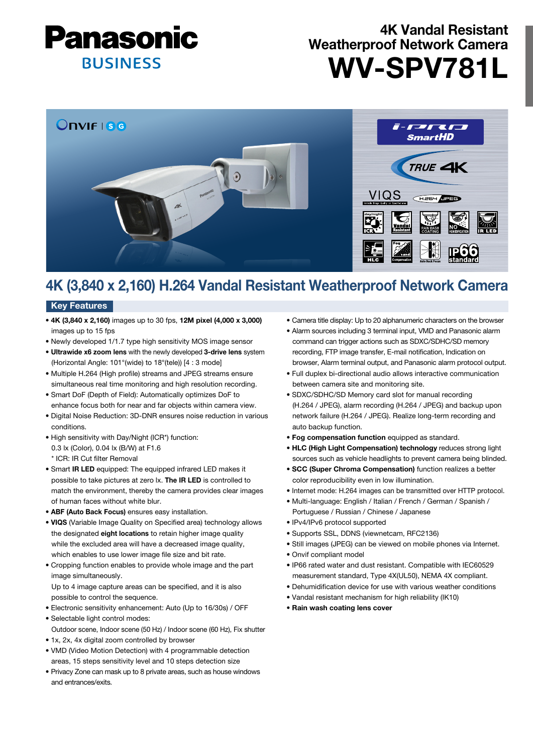

# 4K Vandal Resistant Weatherproof Network Camera WV-SPV781L



# 4K (3,840 x 2,160) H.264 Vandal Resistant Weatherproof Network Camera

### **Key Features**

- 4K (3,840 x 2,160) images up to 30 fps, 12M pixel (4,000 x 3,000) images up to 15 fps
- Newly developed 1/1.7 type high sensitivity MOS image sensor
- Ultrawide x6 zoom lens with the newly developed 3-drive lens system (Horizontal Angle: 101°(wide) to 18°(tele)) [4 : 3 mode]
- Multiple H.264 (High profile) streams and JPEG streams ensure simultaneous real time monitoring and high resolution recording.
- Smart DoF (Depth of Field): Automatically optimizes DoF to enhance focus both for near and far objects within camera view.
- Digital Noise Reduction: 3D-DNR ensures noise reduction in various conditions.
- High sensitivity with Day/Night (ICR\*) function: 0.3 lx (Color), 0.04 lx (B/W) at F1.6 \* ICR: IR Cut filter Removal
- Smart IR LED equipped: The equipped infrared LED makes it possible to take pictures at zero lx. The IR LED is controlled to match the environment, thereby the camera provides clear images of human faces without white blur.
- ABF (Auto Back Focus) ensures easy installation.
- VIQS (Variable Image Quality on Specified area) technology allows the designated eight locations to retain higher image quality while the excluded area will have a decreased image quality, which enables to use lower image file size and bit rate.
- Cropping function enables to provide whole image and the part image simultaneously. Up to 4 image capture areas can be specified, and it is also

possible to control the sequence.

- Electronic sensitivity enhancement: Auto (Up to 16/30s) / OFF
- Selectable light control modes:
- Outdoor scene, Indoor scene (50 Hz) / Indoor scene (60 Hz), Fix shutter
- 1x, 2x, 4x digital zoom controlled by browser
- VMD (Video Motion Detection) with 4 programmable detection areas, 15 steps sensitivity level and 10 steps detection size
- Privacy Zone can mask up to 8 private areas, such as house windows and entrances/exits.
- Camera title display: Up to 20 alphanumeric characters on the browser
- Alarm sources including 3 terminal input, VMD and Panasonic alarm command can trigger actions such as SDXC/SDHC/SD memory recording, FTP image transfer, E-mail notification, Indication on browser, Alarm terminal output, and Panasonic alarm protocol output.
- Full duplex bi-directional audio allows interactive communication between camera site and monitoring site.
- SDXC/SDHC/SD Memory card slot for manual recording (H.264 / JPEG), alarm recording (H.264 / JPEG) and backup upon network failure (H.264 / JPEG). Realize long-term recording and auto backup function.
- Fog compensation function equipped as standard.
- HLC (High Light Compensation) technology reduces strong light sources such as vehicle headlights to prevent camera being blinded.
- SCC (Super Chroma Compensation) function realizes a better color reproducibility even in low illumination.
- Internet mode: H.264 images can be transmitted over HTTP protocol.
- Multi-language: English / Italian / French / German / Spanish / Portuguese / Russian / Chinese / Japanese
- IPv4/IPv6 protocol supported
- Supports SSL, DDNS (viewnetcam, RFC2136)
- Still images (JPEG) can be viewed on mobile phones via Internet.
- Onvif compliant model
- IP66 rated water and dust resistant. Compatible with IEC60529 measurement standard, Type 4X(UL50), NEMA 4X compliant.
- Dehumidification device for use with various weather conditions
- Vandal resistant mechanism for high reliability (IK10)
- Rain wash coating lens cover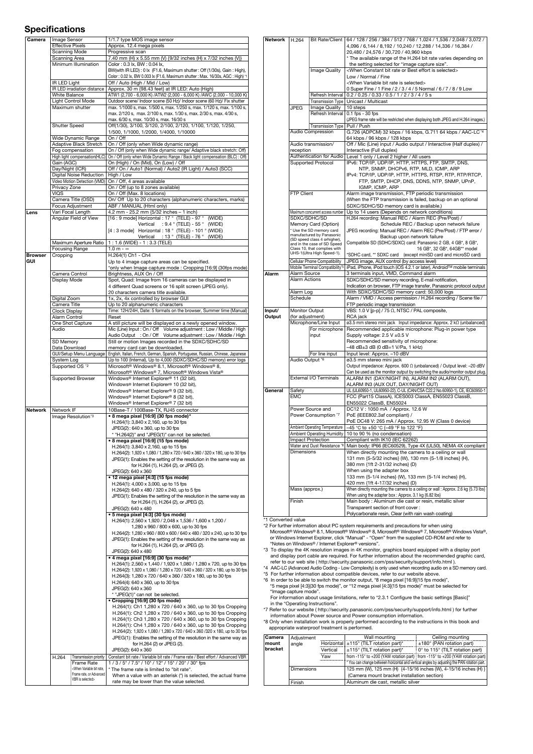## Specifications

| Camera                       | Image Sensor                                                                                | 1/1.7 type MOS image sensor                                                                                                                                                                                                                                                                                                                                                                                                                                                                                                      |  |
|------------------------------|---------------------------------------------------------------------------------------------|----------------------------------------------------------------------------------------------------------------------------------------------------------------------------------------------------------------------------------------------------------------------------------------------------------------------------------------------------------------------------------------------------------------------------------------------------------------------------------------------------------------------------------|--|
|                              | <b>Effective Pixels</b>                                                                     | Approx. 12.4 mega pixels                                                                                                                                                                                                                                                                                                                                                                                                                                                                                                         |  |
|                              | Scanning Mode<br>Scanning Area                                                              | Progressive scan<br>7.40 mm (H) x 5.55 mm (V) {9/32 inches (H) x 7/32 inches (V)}                                                                                                                                                                                                                                                                                                                                                                                                                                                |  |
|                              | Minimum Illumination                                                                        | Color: 0.3 lx, BW: 0.04 lx,                                                                                                                                                                                                                                                                                                                                                                                                                                                                                                      |  |
|                              |                                                                                             | BW(with IR LED): 0 lx (F1.6, Maximum shutter: Off (1/30s), Gain: High),                                                                                                                                                                                                                                                                                                                                                                                                                                                          |  |
|                              |                                                                                             | Color: 0.02 lx, BW 0.003 lx (F1.6, Maximum shutter: Max. 16/30s, AGC: High) *1                                                                                                                                                                                                                                                                                                                                                                                                                                                   |  |
|                              | IR LED Light                                                                                | Off / Auto (High / Mid / Low)                                                                                                                                                                                                                                                                                                                                                                                                                                                                                                    |  |
|                              | <b>IR LED irradiation distance</b>                                                          | Approx. 30 m {98.43 feet} at IR LED: Auto (High)                                                                                                                                                                                                                                                                                                                                                                                                                                                                                 |  |
|                              | <b>White Balance</b>                                                                        | ATW1 (2,700 - 6,000 K) /ATW2 (2,000 - 6,000 K) /AWC (2,000 - 10,000 K)                                                                                                                                                                                                                                                                                                                                                                                                                                                           |  |
|                              | Light Control Mode                                                                          | Outdoor scene/ Indoor scene (50 Hz)/ Indoor scene (60 Hz)/ Fix shutter                                                                                                                                                                                                                                                                                                                                                                                                                                                           |  |
|                              | Maximum shutter                                                                             | max. 1/1000 s, max. 1/500 s, max. 1/250 s, max. 1/120 s, max. 1/100 s,<br>max. 2/120 s, max. 2/100 s, max. 1/30 s, max. 2/30 s, max. 4/30 s,                                                                                                                                                                                                                                                                                                                                                                                     |  |
|                              |                                                                                             | max. 6/30 s, max. 10/30 s, max. 16/30 s                                                                                                                                                                                                                                                                                                                                                                                                                                                                                          |  |
|                              | <b>Shutter Speed</b>                                                                        | Off(1/30), 3/100, 3/120, 2/100, 2/120, 1/100, 1/120, 1/250,                                                                                                                                                                                                                                                                                                                                                                                                                                                                      |  |
|                              |                                                                                             | 1/500, 1/1000, 1/2000, 1/4000, 1/10000                                                                                                                                                                                                                                                                                                                                                                                                                                                                                           |  |
|                              | Wide Dynamic Range                                                                          | On / Off                                                                                                                                                                                                                                                                                                                                                                                                                                                                                                                         |  |
|                              | Adaptive Black Stretch                                                                      | On / Off (only when Wide dynamic range)                                                                                                                                                                                                                                                                                                                                                                                                                                                                                          |  |
|                              | Fog compensation                                                                            | On / Off (only when Wide dynamic range/ Adaptive black stretch: Off)                                                                                                                                                                                                                                                                                                                                                                                                                                                             |  |
| High light compensation(HLC) |                                                                                             | On / Off (only when Wide Dynamic Range / Back light compensation (BLC) : Off)                                                                                                                                                                                                                                                                                                                                                                                                                                                    |  |
|                              | Gain (AGC)<br>Day/Night (ICR)                                                               | On (High) / On (Mid), On (Low) / Off<br>Off / On / Auto1 (Normal) / Auto2 (IR Light) / Auto3 (SCC)                                                                                                                                                                                                                                                                                                                                                                                                                               |  |
|                              | Digital Noise Reduction                                                                     | High / Low                                                                                                                                                                                                                                                                                                                                                                                                                                                                                                                       |  |
|                              | Video Motion Detection (VMD)                                                                | On / Off, 4 areas available                                                                                                                                                                                                                                                                                                                                                                                                                                                                                                      |  |
|                              | Privacy Zone                                                                                | On / Off (up to 8 zones available)                                                                                                                                                                                                                                                                                                                                                                                                                                                                                               |  |
|                              | <b>VIQS</b>                                                                                 | On / Off (Max. 8 locations)                                                                                                                                                                                                                                                                                                                                                                                                                                                                                                      |  |
|                              | Camera Title (OSD)                                                                          | On/ Off Up to 20 characters (alphanumeric characters, marks)                                                                                                                                                                                                                                                                                                                                                                                                                                                                     |  |
|                              | Focus Adjustment                                                                            | ABF / MANUAL (Html only)                                                                                                                                                                                                                                                                                                                                                                                                                                                                                                         |  |
| Lens                         | Vari Focal Length<br>Angular Field of View                                                  | 4.2 mm - 25.2 mm {5/32 inches - 1 inch}<br>[16 : 9 mode] Horizontal : 17 ° (TELE) - 97 °<br>(WIDE)                                                                                                                                                                                                                                                                                                                                                                                                                               |  |
|                              |                                                                                             | : $9.4 \text{ °}$ (TELE) - 55 $\text{ °}$ (WIDE)<br>Vertical                                                                                                                                                                                                                                                                                                                                                                                                                                                                     |  |
|                              |                                                                                             | [4 : 3 mode] Horizontal : 18 ° (TELE) - 101 ° (WIDE)                                                                                                                                                                                                                                                                                                                                                                                                                                                                             |  |
|                              |                                                                                             | Vertical : 13 ° (TELE) - 76 ° (WIDE)                                                                                                                                                                                                                                                                                                                                                                                                                                                                                             |  |
|                              | Maximum Aperture Ratio                                                                      | $1:1.6$ (WIDE) - $1:3.3$ (TELE)                                                                                                                                                                                                                                                                                                                                                                                                                                                                                                  |  |
|                              | <b>Focusing Range</b>                                                                       | $1.0 m - \infty$                                                                                                                                                                                                                                                                                                                                                                                                                                                                                                                 |  |
| <b>Browser</b>               | Cropping                                                                                    | H.264(1) Ch1 - Ch4                                                                                                                                                                                                                                                                                                                                                                                                                                                                                                               |  |
| GUI                          |                                                                                             | Up to 4 image capture areas can be specified.                                                                                                                                                                                                                                                                                                                                                                                                                                                                                    |  |
|                              |                                                                                             | *only when Image capture mode: Cropping [16:9] (30fps mode)                                                                                                                                                                                                                                                                                                                                                                                                                                                                      |  |
|                              | Camera Control<br>Display Mode                                                              | Brightness, AUX On / Off<br>Spot, Quad: Image from 16 cameras can be displayed in                                                                                                                                                                                                                                                                                                                                                                                                                                                |  |
|                              |                                                                                             | 4 different Quad screens or 16 split screen (JPEG only).                                                                                                                                                                                                                                                                                                                                                                                                                                                                         |  |
|                              |                                                                                             | 20 characters camera title available.                                                                                                                                                                                                                                                                                                                                                                                                                                                                                            |  |
|                              | Digital Zoom                                                                                | 1x, 2x, 4x controlled by browser GUI                                                                                                                                                                                                                                                                                                                                                                                                                                                                                             |  |
|                              | Camera Title                                                                                | Up to 20 alphanumeric characters                                                                                                                                                                                                                                                                                                                                                                                                                                                                                                 |  |
|                              | <b>Clock Display</b>                                                                        | Time: 12H/24H, Date: 5 formats on the browser, Summer time (Manual)                                                                                                                                                                                                                                                                                                                                                                                                                                                              |  |
|                              | Alarm Control                                                                               | Reset                                                                                                                                                                                                                                                                                                                                                                                                                                                                                                                            |  |
|                              | One Shot Capture<br>Audio                                                                   | A still picture will be displayed on a newly opened window.<br>Mic (Line) Input: On / Off Volume adjustment: Low / Middle / High                                                                                                                                                                                                                                                                                                                                                                                                 |  |
|                              |                                                                                             | Audio Output : On / Off Volume adjustment : Low / Middle / High                                                                                                                                                                                                                                                                                                                                                                                                                                                                  |  |
|                              | SD Memory                                                                                   | Still or motion Images recorded in the SDXC/SDHC/SD                                                                                                                                                                                                                                                                                                                                                                                                                                                                              |  |
|                              | Data Download                                                                               | memory card can be downloaded.                                                                                                                                                                                                                                                                                                                                                                                                                                                                                                   |  |
|                              | GUI/Setup Menu Language                                                                     | English, Italian, French, German, Spanish, Portuguese, Russian, Chinese, Japanese                                                                                                                                                                                                                                                                                                                                                                                                                                                |  |
|                              | System Log                                                                                  | Up to 100 (Internal), Up to 4,000 (SDXC/SDHC/SD memory) error logs                                                                                                                                                                                                                                                                                                                                                                                                                                                               |  |
|                              | Supported OS '2                                                                             | Microsoft® Windows® 8.1, Microsoft® Windows® 8,                                                                                                                                                                                                                                                                                                                                                                                                                                                                                  |  |
|                              |                                                                                             | Microsoft <sup>®</sup> Windows® 7, Microsoft <sup>®</sup> Windows Vista®                                                                                                                                                                                                                                                                                                                                                                                                                                                         |  |
|                              |                                                                                             |                                                                                                                                                                                                                                                                                                                                                                                                                                                                                                                                  |  |
|                              | <b>Supported Browser</b>                                                                    | Windows® Internet Explorer® 11 (32 bit),                                                                                                                                                                                                                                                                                                                                                                                                                                                                                         |  |
|                              |                                                                                             | Windows® Internet Explorer® 10 (32 bit),                                                                                                                                                                                                                                                                                                                                                                                                                                                                                         |  |
|                              |                                                                                             | Windows® Internet Explorer® 9 (32 bit),                                                                                                                                                                                                                                                                                                                                                                                                                                                                                          |  |
|                              |                                                                                             | Windows® Internet Explorer® 8 (32 bit),                                                                                                                                                                                                                                                                                                                                                                                                                                                                                          |  |
|                              |                                                                                             | Windows® Internet Explorer® 7 (32 bit)                                                                                                                                                                                                                                                                                                                                                                                                                                                                                           |  |
| Network                      | Network IF<br>Image Resolution*3                                                            | 10Base-T / 100Base-TX, RJ45 connector<br>• 8 mega pixel [16:9] (30 fps mode)*                                                                                                                                                                                                                                                                                                                                                                                                                                                    |  |
|                              |                                                                                             | H.264(1): 3,840 x 2,160, up to 30 fps                                                                                                                                                                                                                                                                                                                                                                                                                                                                                            |  |
|                              |                                                                                             | JPEG(2): 640 x 360, up to 30 fps                                                                                                                                                                                                                                                                                                                                                                                                                                                                                                 |  |
|                              |                                                                                             | * "H.264(2)" and "JPEG(1)" can not be selected.                                                                                                                                                                                                                                                                                                                                                                                                                                                                                  |  |
|                              |                                                                                             | • 8 mega pixel [16:9] (15 fps mode)                                                                                                                                                                                                                                                                                                                                                                                                                                                                                              |  |
|                              |                                                                                             | H.264(1): 3,840 x 2,160, up to 15 fps                                                                                                                                                                                                                                                                                                                                                                                                                                                                                            |  |
|                              |                                                                                             | H.264(2): 1,920 x 1,080 / 1,280 x 720 / 640 x 360 / 320 x 180, up to 30 fps                                                                                                                                                                                                                                                                                                                                                                                                                                                      |  |
|                              |                                                                                             | JPEG(1): Enables the setting of the resolution in the same way as                                                                                                                                                                                                                                                                                                                                                                                                                                                                |  |
|                              |                                                                                             | for H.264 (1), H.264 (2), or JPEG (2).                                                                                                                                                                                                                                                                                                                                                                                                                                                                                           |  |
|                              |                                                                                             | JPEG(2): 640 x 360<br>• 12 mega pixel [4:3] (15 fps mode)                                                                                                                                                                                                                                                                                                                                                                                                                                                                        |  |
|                              |                                                                                             | H.264(1): 4,000 x 3,000, up to 15 fps                                                                                                                                                                                                                                                                                                                                                                                                                                                                                            |  |
|                              |                                                                                             | H.264(2): 640 x 480 / 320 x 240, up to 5 fps                                                                                                                                                                                                                                                                                                                                                                                                                                                                                     |  |
|                              |                                                                                             | JPEG(1): Enables the setting of the resolution in the same way as                                                                                                                                                                                                                                                                                                                                                                                                                                                                |  |
|                              |                                                                                             | for H.264 (1), H.264 (2), or JPEG (2).                                                                                                                                                                                                                                                                                                                                                                                                                                                                                           |  |
|                              |                                                                                             | JPEG(2): 640 x 480                                                                                                                                                                                                                                                                                                                                                                                                                                                                                                               |  |
|                              |                                                                                             | • 5 mega pixel [4:3] (30 fps mode)                                                                                                                                                                                                                                                                                                                                                                                                                                                                                               |  |
|                              |                                                                                             | H.264(1): 2,560 x 1,920 / 2,048 x 1,536 / 1,600 x 1,200 /                                                                                                                                                                                                                                                                                                                                                                                                                                                                        |  |
|                              |                                                                                             | 1,280 x 960 / 800 x 600, up to 30 fps                                                                                                                                                                                                                                                                                                                                                                                                                                                                                            |  |
|                              |                                                                                             | H.264(2): 1,280 x 960 / 800 x 600 / 640 x 480 / 320 x 240, up to 30 fps                                                                                                                                                                                                                                                                                                                                                                                                                                                          |  |
|                              |                                                                                             | JPEG(1): Enables the setting of the resolution in the same way as<br>for H.264 (1), H.264 (2), or JPEG (2).                                                                                                                                                                                                                                                                                                                                                                                                                      |  |
|                              |                                                                                             | JPEG(2): 640 x 480                                                                                                                                                                                                                                                                                                                                                                                                                                                                                                               |  |
|                              |                                                                                             | • 4 mega pixel [16:9] (30 fps mode)*                                                                                                                                                                                                                                                                                                                                                                                                                                                                                             |  |
|                              |                                                                                             | H.264(1): 2,560 x 1,440 / 1,920 x 1,080 / 1,280 x 720, up to 30 fps                                                                                                                                                                                                                                                                                                                                                                                                                                                              |  |
|                              |                                                                                             | H.264(2): 1,920 x 1,080 / 1,280 x 720 / 640 x 360 / 320 x 180, up to 30 fps                                                                                                                                                                                                                                                                                                                                                                                                                                                      |  |
|                              |                                                                                             | H.264(3): 1,280 x 720 / 640 x 360 / 320 x 180, up to 30 fps                                                                                                                                                                                                                                                                                                                                                                                                                                                                      |  |
|                              |                                                                                             | H.264(4): 640 x 360, up to 30 fps                                                                                                                                                                                                                                                                                                                                                                                                                                                                                                |  |
|                              |                                                                                             | JPEG(2): 640 x 360                                                                                                                                                                                                                                                                                                                                                                                                                                                                                                               |  |
|                              |                                                                                             | * "JPEG(1)" can not be selected.                                                                                                                                                                                                                                                                                                                                                                                                                                                                                                 |  |
|                              |                                                                                             | • Cropping [16:9] (30 fps mode)                                                                                                                                                                                                                                                                                                                                                                                                                                                                                                  |  |
|                              |                                                                                             |                                                                                                                                                                                                                                                                                                                                                                                                                                                                                                                                  |  |
|                              |                                                                                             |                                                                                                                                                                                                                                                                                                                                                                                                                                                                                                                                  |  |
|                              |                                                                                             |                                                                                                                                                                                                                                                                                                                                                                                                                                                                                                                                  |  |
|                              |                                                                                             |                                                                                                                                                                                                                                                                                                                                                                                                                                                                                                                                  |  |
|                              |                                                                                             |                                                                                                                                                                                                                                                                                                                                                                                                                                                                                                                                  |  |
|                              |                                                                                             | for H.264 (2) or JPEG (2).                                                                                                                                                                                                                                                                                                                                                                                                                                                                                                       |  |
|                              |                                                                                             | JPEG(2): 640 x 360                                                                                                                                                                                                                                                                                                                                                                                                                                                                                                               |  |
|                              | H.264<br>Transmission priority                                                              | Constant bit rate / Variable bit rate / Frame rate / Best effort / Advanced VBR                                                                                                                                                                                                                                                                                                                                                                                                                                                  |  |
|                              | <b>Frame Rate</b>                                                                           | 1 / 3 / 5* / 7.5* / 10* / 12* / 15* / 20* / 30* fps                                                                                                                                                                                                                                                                                                                                                                                                                                                                              |  |
|                              | <when bit="" rate,<br="" variable="">Frame rate, or Advanced<br/>VBR is selected&gt;</when> | H.264(1): Ch1 1,280 x 720 / 640 x 360, up to 30 fps Cropping<br>H.264(1): Ch2 1,280 x 720 / 640 x 360, up to 30 fps Cropping<br>H.264(1): Ch3 1,280 x 720 / 640 x 360, up to 30 fps Cropping<br>H.264(1): Ch4 1,280 x 720 / 640 x 360, up to 30 fps Cropping<br>H.264(2): 1,920 x 1,080 / 1,280 x 720 / 640 x 360 /320 x 180, up to 30 fps<br>JPEG(1): Enables the setting of the resolution in the same way as<br>* The frame rate is limited to "bit rate".<br>When a value with an asterisk (*) is selected, the actual frame |  |

| Network            | H.264                                                                                                          | <b>Bit Rate/Client</b>                                    | 64 / 128 / 256 / 384 / 512 / 768 / 1,024 / 1,536 / 2,048 / 3,072 /                                                                                                                          |
|--------------------|----------------------------------------------------------------------------------------------------------------|-----------------------------------------------------------|---------------------------------------------------------------------------------------------------------------------------------------------------------------------------------------------|
|                    |                                                                                                                |                                                           | 4,096 / 6,144 / 8,192 / 10,240 / 12,288 / 14,336 / 16,384 /                                                                                                                                 |
|                    |                                                                                                                |                                                           | 20,480 / 24,576 / 30,720 / 40,960 kbps                                                                                                                                                      |
|                    |                                                                                                                |                                                           | * The available range of the H.264 bit rate varies depending on                                                                                                                             |
|                    |                                                                                                                |                                                           | the setting selected for "image capture size".                                                                                                                                              |
|                    |                                                                                                                | Image Quality                                             | <when best="" bit="" constant="" effort="" is="" or="" rate="" selected=""></when>                                                                                                          |
|                    |                                                                                                                |                                                           | Low / Normal / Fine                                                                                                                                                                         |
|                    |                                                                                                                |                                                           | <when bit="" is="" rate="" selected="" variable=""></when>                                                                                                                                  |
|                    |                                                                                                                |                                                           | 0 Super Fine / 1 Fine / 2 / 3 / 4 / 5 Normal / 6 / 7 / 8 / 9 Low                                                                                                                            |
|                    |                                                                                                                | Refresh Interval                                          | $0.2 / 0.25 / 0.33 / 0.5 / 1 / 2 / 3 / 4 / 5 s$                                                                                                                                             |
|                    |                                                                                                                |                                                           | Transmission Type   Unicast / Multicast                                                                                                                                                     |
|                    | <b>JPEG</b>                                                                                                    | Image Quality                                             | 10 steps                                                                                                                                                                                    |
|                    |                                                                                                                | Refresh Interval   0.1 fps - 30 fps                       |                                                                                                                                                                                             |
|                    |                                                                                                                |                                                           | (JPEG frame rate will be restricted when displaying both JPEG and H.264 images.)                                                                                                            |
|                    |                                                                                                                | Transmission Type   Pull / Push                           | G.726 (ADPCM) 32 kbps / 16 kbps, G.711 64 kbps / AAC-LC*4                                                                                                                                   |
|                    | Audio Compression<br>Audio transmission/<br>reception<br>Authentication for Audio<br><b>Supported Protocol</b> |                                                           |                                                                                                                                                                                             |
|                    |                                                                                                                |                                                           | 64 kbps / 96 kbps / 128 kbps<br>Off / Mic (Line) input / Audio output / Interactive (Half duplex) /                                                                                         |
|                    |                                                                                                                |                                                           | Interactive (Full duplex)                                                                                                                                                                   |
|                    |                                                                                                                |                                                           | Level 1 only / Level 2 higher / All users                                                                                                                                                   |
|                    |                                                                                                                |                                                           | IPv6: TCP/IP, UDP/IP, HTTP, HTTPS, FTP, SMTP, DNS,                                                                                                                                          |
|                    |                                                                                                                |                                                           | NTP, SNMP, DHCPv6, RTP, MLD, ICMP, ARP                                                                                                                                                      |
|                    |                                                                                                                |                                                           | IPv4: TCP/IP, UDP/IP, HTTP, HTTPS, RTSP, RTP, RTP/RTCP,                                                                                                                                     |
|                    |                                                                                                                |                                                           | FTP, SMTP, DHCP, DNS, DDNS, NTP, SNMP, UPnP,                                                                                                                                                |
|                    |                                                                                                                |                                                           | IGMP, ICMP, ARP                                                                                                                                                                             |
|                    | <b>FTP Client</b>                                                                                              |                                                           | Alarm image transmission, FTP periodic transmission                                                                                                                                         |
|                    |                                                                                                                |                                                           | (When the FTP transmission is failed, backup on an optional                                                                                                                                 |
|                    |                                                                                                                |                                                           | SDXC/SDHC/SD memory card is available.)                                                                                                                                                     |
|                    |                                                                                                                | Maximum concurrent access number                          | Up to 14 users (Depends on network conditions)                                                                                                                                              |
|                    |                                                                                                                | SDXC/SDHC/SD                                              | H.264 recording: Manual REC / Alarm REC (Pre/Post) /                                                                                                                                        |
|                    |                                                                                                                | Memory Card (Option)                                      | Schedule REC / Backup upon network failure                                                                                                                                                  |
|                    |                                                                                                                | Use the SD memory card                                    | JPEG recording: Manual REC / Alarm REC (Pre/Post) / FTP error /                                                                                                                             |
|                    |                                                                                                                | manufactured by Panasonic<br>(SD speed class 4 orhigher), | Backup upon network failure                                                                                                                                                                 |
|                    |                                                                                                                | and in the case of SD Speed                               | Compatible SD (SDHC/SDXC) card: Panasonic 2 GB, 4 GB*, 8 GB*,                                                                                                                               |
|                    |                                                                                                                | Class 10, that complies with                              | 16 GB*, 32 GB*, 64GB** model                                                                                                                                                                |
|                    |                                                                                                                | UHS-1(Ultra High Speed-1).                                | *SDHC card, ** SDXC card (except miniSD card and microSD card)                                                                                                                              |
|                    |                                                                                                                | Cellular Phone Compatibility                              | JPEG image, AUX control (by access level)                                                                                                                                                   |
|                    |                                                                                                                | Mobile Terminal Compatibility'5                           | iPad, iPhone, iPod touch (iOS 4.2.1 or later), Android™ mobile terminals                                                                                                                    |
| Alarm              | Alarm Source                                                                                                   |                                                           | 3 terminals input, VMD, Command alarm                                                                                                                                                       |
|                    | <b>Alarm Actions</b>                                                                                           |                                                           | SDXC/SDHC/SD memory recording, E-mail notification,                                                                                                                                         |
|                    |                                                                                                                |                                                           | Indication on browser, FTP image transfer, Panasonic protocol output                                                                                                                        |
|                    | Alarm Log<br>Schedule                                                                                          |                                                           | With SDXC/SDHC/SD memory card: 50,000 logs                                                                                                                                                  |
|                    |                                                                                                                |                                                           | Alarm / VMD / Access permission / H.264 recording / Scene file /                                                                                                                            |
| Input/             | Monitor Output                                                                                                 |                                                           | FTP periodic image transmission<br>VBS: 1.0 V [p-p] / 75 $\Omega$ , NTSC / PAL composite,                                                                                                   |
| Output             | (for adjustment)                                                                                               |                                                           | RCA jack                                                                                                                                                                                    |
|                    |                                                                                                                | Microphone/Line Input                                     | ø3.5 mm stereo mini jack Input impedance: Approx. 2 kΩ (unbalanced)                                                                                                                         |
|                    |                                                                                                                | For microphone                                            | Recommended applicable microphone: Plug-in power type                                                                                                                                       |
|                    |                                                                                                                | input                                                     | Supply voltage: 2.5 V ±0.5 V                                                                                                                                                                |
|                    |                                                                                                                |                                                           | Recommended sensitivity of microphone:                                                                                                                                                      |
|                    |                                                                                                                |                                                           | -48 dB±3 dB (0 dB=1 V/Pa, 1 kHz)                                                                                                                                                            |
|                    |                                                                                                                | For line input                                            | Input level: Approx. - 10 dBV                                                                                                                                                               |
|                    | Audio Output '6                                                                                                |                                                           | ø3.5 mm stereo mini jack                                                                                                                                                                    |
|                    |                                                                                                                |                                                           | Output impedance: Approx. 600 Ω (unbalanced) / Output level: -20 dBV                                                                                                                        |
|                    |                                                                                                                |                                                           | Can be used as the monitor output by switching the audio/monitor output plug.                                                                                                               |
|                    |                                                                                                                | External I/O Terminals                                    | ALARM IN1 (DAY/NIGHT IN), ALARM IN2 (ALARM OUT),                                                                                                                                            |
|                    |                                                                                                                |                                                           | ALARM IN3 (AUX OUT, DAY/NIGHT OUT)                                                                                                                                                          |
| General            | Safety                                                                                                         |                                                           | UL (UL60950-1, UL60950-22), C-UL (CAN/CSA C22.2 No.60950-1), CE, IEC60950-1                                                                                                                 |
|                    | <b>EMC</b>                                                                                                     |                                                           | FCC (Part15 ClassA), ICES003 ClassA, EN55023 ClassB,                                                                                                                                        |
|                    |                                                                                                                |                                                           | EN55022 ClassB, EN55024                                                                                                                                                                     |
|                    |                                                                                                                | Power Source and                                          | DC12 V: 1050 mA / Approx. 12.6 W                                                                                                                                                            |
|                    |                                                                                                                | Power Consumption *7                                      | PoE (IEEE802.3af compliant) /                                                                                                                                                               |
|                    |                                                                                                                |                                                           | PoE DC48 V: 265 mA / Approx. 12.95 W (Class 0 device)<br>Ambient Operating Temperature   -45 °C to +50 °C {-49 °F to 122 °F}                                                                |
|                    |                                                                                                                |                                                           | Ambient Operating Humidity   10 to 90 % (no condensation)                                                                                                                                   |
|                    |                                                                                                                | <b>Impact Protection</b>                                  | Compliant with IK10 (IEC 62262)                                                                                                                                                             |
|                    |                                                                                                                | Water and Dust Resistance *8                              | Main body: IP66 (IEC60529), Type 4X (UL50), NEMA 4X compliant                                                                                                                               |
|                    | Dimensions                                                                                                     |                                                           | When directly mounting the camera to a ceiling or wall                                                                                                                                      |
|                    |                                                                                                                |                                                           | 131 mm {5-5/32 inches} (W), 130 mm {5-1/8 inches} (H),                                                                                                                                      |
|                    |                                                                                                                |                                                           | 380 mm {1ft 2-31/32 inches} (D)                                                                                                                                                             |
|                    |                                                                                                                |                                                           | When using the adapter box                                                                                                                                                                  |
|                    |                                                                                                                |                                                           | 133 mm {5-1/4 inches} (W), 133 mm {5-1/4 inches} (H),                                                                                                                                       |
|                    |                                                                                                                |                                                           | 420 mm {1ft 4-17/32 inches} (D)                                                                                                                                                             |
|                    | Mass (approx.)                                                                                                 |                                                           | When directly mounting the camera to a ceiling or wall : Approx. 2.6 kg {5.73 lbs}                                                                                                          |
|                    |                                                                                                                |                                                           | When using the adapter box: Approx. 3.1 kg {6.82 lbs}                                                                                                                                       |
|                    | Finish                                                                                                         |                                                           | Main body : Aluminum die cast or resin, metallic silver                                                                                                                                     |
|                    |                                                                                                                |                                                           | Transparent section of front cover:                                                                                                                                                         |
|                    |                                                                                                                |                                                           | Polycarbonate resin, Clear (with rain wash coating)                                                                                                                                         |
| *1 Converted value |                                                                                                                |                                                           |                                                                                                                                                                                             |
|                    |                                                                                                                |                                                           | *2 For further information about PC system requirements and precautions for when using<br>Microsoft® Windows® 8.1, Microsoft® Windows® 8, Microsoft® Windows® 7, Microsoft® Windows Vista®, |
|                    |                                                                                                                |                                                           | or Windows Internet Explorer, click "Manual" - "Open" from the supplied CD-ROM and refer to                                                                                                 |
|                    |                                                                                                                | "Notes on Windows® / Internet Explorer® versions".        |                                                                                                                                                                                             |
|                    |                                                                                                                |                                                           | *3 To display the 4K resolution images in 4K monitor, graphics board equipped with a display port                                                                                           |
|                    |                                                                                                                |                                                           | and display port cable are required. For further information about the recommended graphic card,                                                                                            |
|                    |                                                                                                                |                                                           | refer to our web site (http://security.panasonic.com/pss/security/support/info.html).                                                                                                       |
|                    |                                                                                                                |                                                           | *4 AAC-LC (Advanced Audio Coding - Low Complexity) is only used when recording audio on a SD memory card.                                                                                   |
|                    |                                                                                                                |                                                           | *5 For further information about compatible devices, refer to our website above.                                                                                                            |
|                    |                                                                                                                |                                                           | *6 In order to be able to switch the monitor output, "8 mega pixel [16:9](15 fps mode)",                                                                                                    |
|                    |                                                                                                                |                                                           | "5 mega pixel [4:3](30 fps mode)" or "12 mega pixel [4:3](15 fps mode)" must be selected for                                                                                                |

"6 In order to be able to switch the monitor output, "8 mega pixel [16:9](15 fps mode)", "5 mega pixel [4:3](15 fps mode)", or "12 mega pixel [4:3](15 fps mode)" must be selected for "mage capture mode".<br>"Image capture mod

| Camera  | Adjustment |          | Wall mounting                                                                               | Ceiling mounting                  |  |
|---------|------------|----------|---------------------------------------------------------------------------------------------|-----------------------------------|--|
| mount   | angle      |          | Horizontal $\pm$ 115° (TILT rotation part)*                                                 | $\pm$ 180° (PAN rotation part)    |  |
| bracket |            | Vertical | $\pm$ 115° (TILT rotation part)*                                                            | : 0° to 115° (TILT rotation part) |  |
|         |            | Yaw      | from -115° to +200 (YAW rotation part) from -115° to +200 (YAW rotation part)               |                                   |  |
|         |            |          | * You can change between horizontal and vertical angles by adjusting the PAN rotation part. |                                   |  |
|         | Dimensions |          | 125 mm (W), 125 mm (H) {4-15/16 inches (W), 4-15/16 inches (H) }                            |                                   |  |
|         |            |          | (Camera mount bracket installation section)                                                 |                                   |  |
|         | Finish     |          | Aluminum die cast, metallic silver                                                          |                                   |  |
|         |            |          |                                                                                             |                                   |  |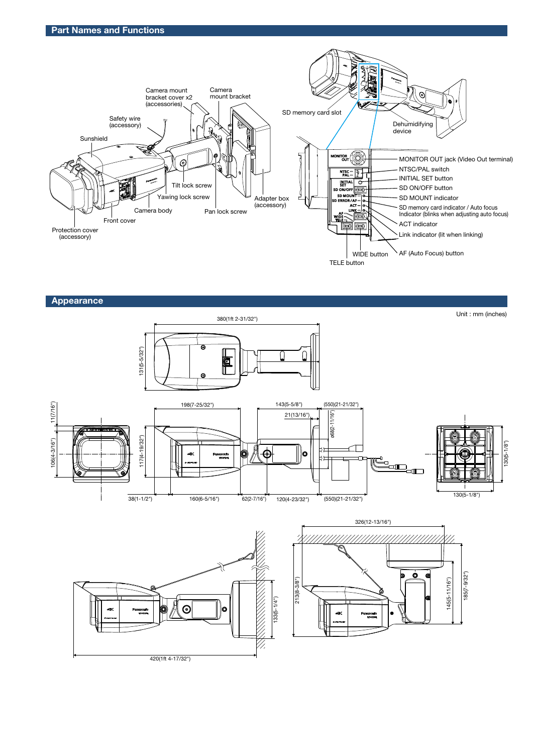

Appearance